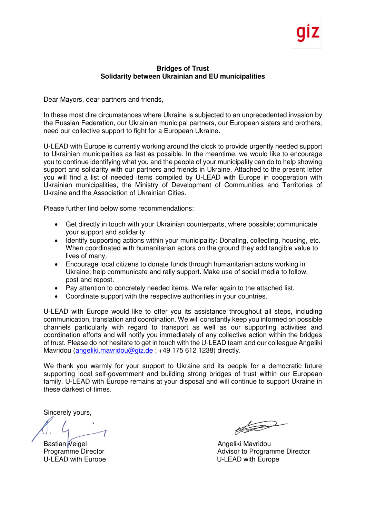## **Bridges of Trust Solidarity between Ukrainian and EU municipalities**

Dear Mayors, dear partners and friends,

In these most dire circumstances where Ukraine is subjected to an unprecedented invasion by the Russian Federation, our Ukrainian municipal partners, our European sisters and brothers, need our collective support to fight for a European Ukraine.

U-LEAD with Europe is currently working around the clock to provide urgently needed support to Ukrainian municipalities as fast as possible. In the meantime, we would like to encourage you to continue identifying what you and the people of your municipality can do to help showing support and solidarity with our partners and friends in Ukraine. Attached to the present letter you will find a list of needed items compiled by U-LEAD with Europe in cooperation with Ukrainian municipalities, the Ministry of Development of Communities and Territories of Ukraine and the Association of Ukrainian Cities.

Please further find below some recommendations:

- Get directly in touch with your Ukrainian counterparts, where possible; communicate your support and solidarity.
- Identify supporting actions within your municipality: Donating, collecting, housing, etc. When coordinated with humanitarian actors on the ground they add tangible value to lives of many.
- Encourage local citizens to donate funds through humanitarian actors working in Ukraine; help communicate and rally support. Make use of social media to follow, post and repost.
- Pay attention to concretely needed items. We refer again to the attached list.
- Coordinate support with the respective authorities in your countries.

U-LEAD with Europe would like to offer you its assistance throughout all steps, including communication, translation and coordination. We will constantly keep you informed on possible channels particularly with regard to transport as well as our supporting activities and coordination efforts and will notify you immediately of any collective action within the bridges of trust. Please do not hesitate to get in touch with the U-LEAD team and our colleague Angeliki Mavridou (angeliki.mavridou@giz.de; +49 175 612 1238) directly.

We thank you warmly for your support to Ukraine and its people for a democratic future supporting local self-government and building strong bridges of trust within our European family. U-LEAD with Europe remains at your disposal and will continue to support Ukraine in these darkest of times.

Sincerely yours,

Bastian Veigel **Angeliki Mavridou** 

 $\sqrt{2}$ 

Programme Director **Advisor to Programme Director** Advisor to Programme Director U-LEAD with Europe **U-LEAD with Europe**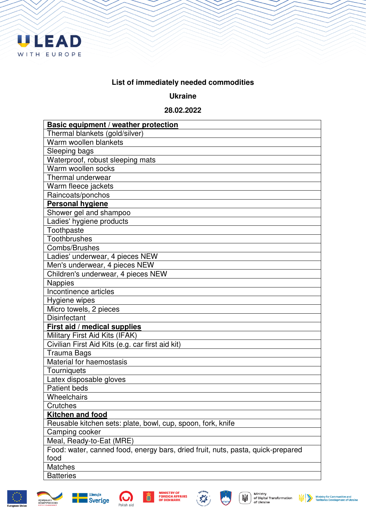

## **List of immediately needed commodities**

## **Ukraine**

## **28.02.2022**

| Basic equipment / weather protection                                            |
|---------------------------------------------------------------------------------|
| Thermal blankets (gold/silver)                                                  |
| Warm woollen blankets                                                           |
| Sleeping bags                                                                   |
| Waterproof, robust sleeping mats                                                |
| Warm woollen socks                                                              |
| Thermal underwear                                                               |
| Warm fleece jackets                                                             |
| Raincoats/ponchos                                                               |
| <b>Personal hygiene</b>                                                         |
| Shower gel and shampoo                                                          |
| Ladies' hygiene products                                                        |
| Toothpaste                                                                      |
| <b>Toothbrushes</b>                                                             |
| Combs/Brushes                                                                   |
| Ladies' underwear, 4 pieces NEW                                                 |
| Men's underwear, 4 pieces NEW                                                   |
| Children's underwear, 4 pieces NEW                                              |
| <b>Nappies</b>                                                                  |
| Incontinence articles                                                           |
| Hygiene wipes                                                                   |
| Micro towels, 2 pieces                                                          |
| <b>Disinfectant</b>                                                             |
| First aid / medical supplies                                                    |
| Military First Aid Kits (IFAK)                                                  |
| Civilian First Aid Kits (e.g. car first aid kit)                                |
| Trauma Bags                                                                     |
| Material for haemostasis                                                        |
| Tourniquets                                                                     |
| Latex disposable gloves                                                         |
| <b>Patient beds</b>                                                             |
| Wheelchairs                                                                     |
| Crutches                                                                        |
| <b>Kitchen and food</b>                                                         |
| Reusable kitchen sets: plate, bowl, cup, spoon, fork, knife                     |
| Camping cooker                                                                  |
| Meal, Ready-to-Eat (MRE)                                                        |
| Food: water, canned food, energy bars, dried fruit, nuts, pasta, quick-prepared |
| food                                                                            |
| <b>Matches</b>                                                                  |
| <b>Batteries</b>                                                                |





співпраця з<br>Німеччиною